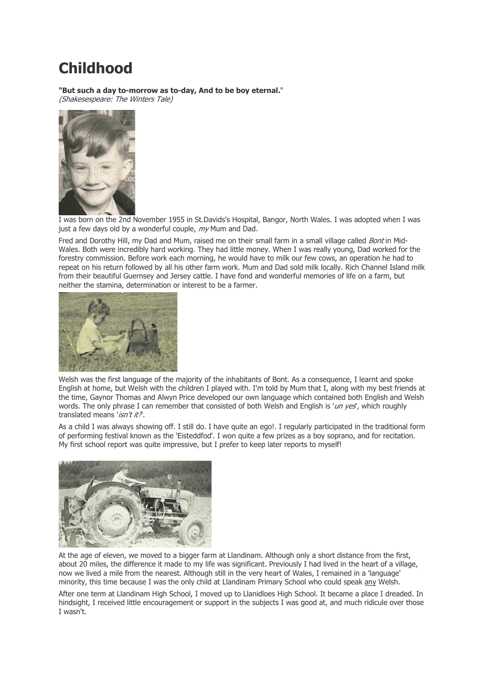# **Childhood**

**"But such a day to-morrow as to-day, And to be boy eternal.**" (Shakesespeare: The Winters Tale)



I was born on the 2nd November 1955 in St.Davids's Hospital, Bangor, North Wales. I was adopted when I was just a few days old by a wonderful couple,  $mv$  Mum and Dad.

Fred and Dorothy Hill, my Dad and Mum, raised me on their small farm in a small village called *Bont* in Mid-Wales. Both were incredibly hard working. They had little money. When I was really young, Dad worked for the forestry commission. Before work each morning, he would have to milk our few cows, an operation he had to repeat on his return followed by all his other farm work. Mum and Dad sold milk locally. Rich Channel Island milk from their beautiful Guernsey and Jersey cattle. I have fond and wonderful memories of life on a farm, but neither the stamina, determination or interest to be a farmer.



Welsh was the first language of the majority of the inhabitants of Bont. As a consequence, I learnt and spoke English at home, but Welsh with the children I played with. I'm told by Mum that I, along with my best friends at the time, Gaynor Thomas and Alwyn Price developed our own language which contained both English and Welsh words. The only phrase I can remember that consisted of both Welsh and English is 'un yes', which roughly translated means 'isn't it?.

As a child I was always showing off. I still do. I have quite an ego!. I regularly participated in the traditional form of performing festival known as the 'Eisteddfod'. I won quite a few prizes as a boy soprano, and for recitation. My first school report was quite impressive, but I prefer to keep later reports to myself!



At the age of eleven, we moved to a bigger farm at Llandinam. Although only a short distance from the first, about 20 miles, the difference it made to my life was significant. Previously I had lived in the heart of a village, now we lived a mile from the nearest. Although still in the very heart of Wales, I remained in a 'language' minority, this time because I was the only child at Llandinam Primary School who could speak any Welsh.

After one term at Llandinam High School, I moved up to Llanidloes High School. It became a place I dreaded. In hindsight, I received little encouragement or support in the subjects I was good at, and much ridicule over those I wasn't.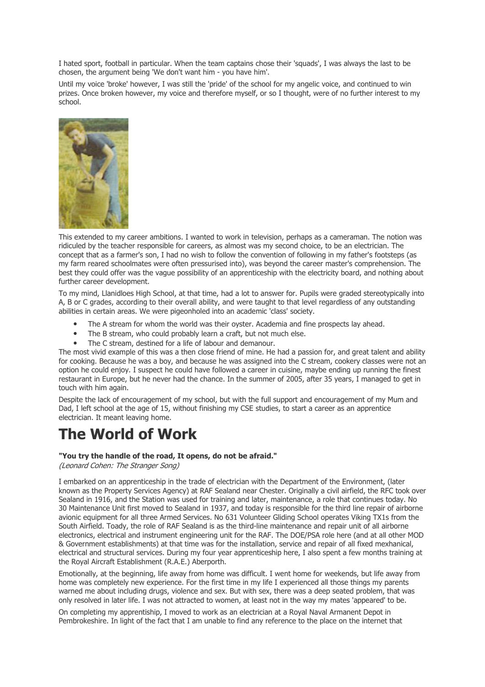I hated sport, football in particular. When the team captains chose their 'squads', I was always the last to be chosen, the argument being 'We don't want him - you have him'.

Until my voice 'broke' however, I was still the 'pride' of the school for my angelic voice, and continued to win prizes. Once broken however, my voice and therefore myself, or so I thought, were of no further interest to my school.



This extended to my career ambitions. I wanted to work in television, perhaps as a cameraman. The notion was ridiculed by the teacher responsible for careers, as almost was my second choice, to be an electrician. The concept that as a farmer's son, I had no wish to follow the convention of following in my father's footsteps (as my farm reared schoolmates were often pressurised into), was beyond the career master's comprehension. The best they could offer was the vague possibility of an apprenticeship with the electricity board, and nothing about further career development.

To my mind, Llanidloes High School, at that time, had a lot to answer for. Pupils were graded stereotypically into A, B or C grades, according to their overall ability, and were taught to that level regardless of any outstanding abilities in certain areas. We were pigeonholed into an academic 'class' society.

- The A stream for whom the world was their oyster. Academia and fine prospects lay ahead.
- The B stream, who could probably learn a craft, but not much else.
- The C stream, destined for a life of labour and demanour.

The most vivid example of this was a then close friend of mine. He had a passion for, and great talent and ability for cooking. Because he was a boy, and because he was assigned into the C stream, cookery classes were not an option he could enjoy. I suspect he could have followed a career in cuisine, maybe ending up running the finest restaurant in Europe, but he never had the chance. In the summer of 2005, after 35 years, I managed to get in touch with him again.

Despite the lack of encouragement of my school, but with the full support and encouragement of my Mum and Dad, I left school at the age of 15, without finishing my CSE studies, to start a career as an apprentice electrician. It meant leaving home.

## **The World of Work**

#### **"You try the handle of the road, It opens, do not be afraid."**

(Leonard Cohen: The Stranger Song)

I embarked on an apprenticeship in the trade of electrician with the Department of the Environment, (later known as the Property Services Agency) at RAF Sealand near Chester. Originally a civil airfield, the RFC took over Sealand in 1916, and the Station was used for training and later, maintenance, a role that continues today. No 30 Maintenance Unit first moved to Sealand in 1937, and today is responsible for the third line repair of airborne avionic equipment for all three Armed Services. No 631 Volunteer Gliding School operates Viking TX1s from the South Airfield. Toady, the role of RAF Sealand is as the third-line maintenance and repair unit of all airborne electronics, electrical and instrument engineering unit for the RAF. The DOE/PSA role here (and at all other MOD & Government establishments) at that time was for the installation, service and repair of all fixed mexhanical, electrical and structural services. During my four year apprenticeship here, I also spent a few months training at the Royal Aircraft Establishment (R.A.E.) Aberporth.

Emotionally, at the beginning, life away from home was difficult. I went home for weekends, but life away from home was completely new experience. For the first time in my life I experienced all those things my parents warned me about including drugs, violence and sex. But with sex, there was a deep seated problem, that was only resolved in later life. I was not attracted to women, at least not in the way my mates 'appeared' to be.

On completing my apprentiship, I moved to work as an electrician at a Royal Naval Armanent Depot in Pembrokeshire. In light of the fact that I am unable to find any reference to the place on the internet that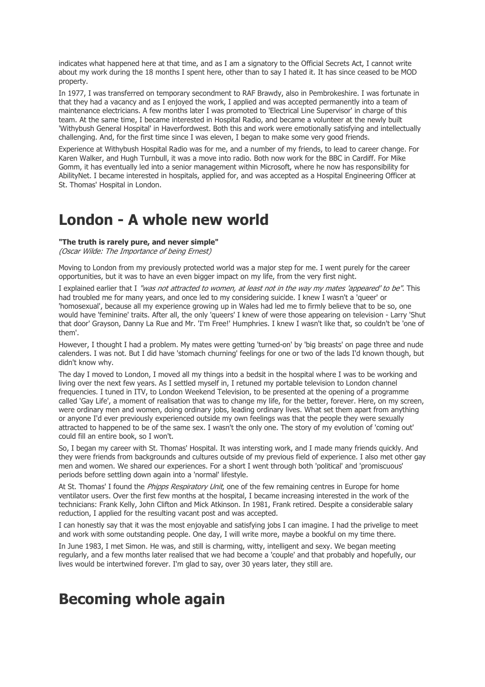indicates what happened here at that time, and as I am a signatory to the Official Secrets Act, I cannot write about my work during the 18 months I spent here, other than to say I hated it. It has since ceased to be MOD property.

In 1977, I was transferred on temporary secondment to RAF Brawdy, also in Pembrokeshire. I was fortunate in that they had a vacancy and as I enjoyed the work, I applied and was accepted permanently into a team of maintenance electricians. A few months later I was promoted to 'Electrical Line Supervisor' in charge of this team. At the same time, I became interested in Hospital Radio, and became a volunteer at the newly built 'Withybush General Hospital' in Haverfordwest. Both this and work were emotionally satisfying and intellectually challenging. And, for the first time since I was eleven, I began to make some very good friends.

Experience at Withybush Hospital Radio was for me, and a number of my friends, to lead to career change. For Karen Walker, and Hugh Turnbull, it was a move into radio. Both now work for the BBC in Cardiff. For Mike Gomm, it has eventually led into a senior management within Microsoft, where he now has responsibility for AbilityNet. I became interested in hospitals, applied for, and was accepted as a Hospital Engineering Officer at St. Thomas' Hospital in London.

### **London - A whole new world**

#### **"The truth is rarely pure, and never simple"**

(Oscar Wilde: The Importance of being Ernest)

Moving to London from my previously protected world was a major step for me. I went purely for the career opportunities, but it was to have an even bigger impact on my life, from the very first night.

I explained earlier that I "was not attracted to women, at least not in the way my mates 'appeared' to be". This had troubled me for many years, and once led to my considering suicide. I knew I wasn't a 'queer' or 'homosexual', because all my experience growing up in Wales had led me to firmly believe that to be so, one would have 'feminine' traits. After all, the only 'queers' I knew of were those appearing on television - Larry 'Shut that door' Grayson, Danny La Rue and Mr. 'I'm Free!' Humphries. I knew I wasn't like that, so couldn't be 'one of them'.

However, I thought I had a problem. My mates were getting 'turned-on' by 'big breasts' on page three and nude calenders. I was not. But I did have 'stomach churning' feelings for one or two of the lads I'd known though, but didn't know why.

The day I moved to London, I moved all my things into a bedsit in the hospital where I was to be working and living over the next few years. As I settled myself in, I retuned my portable television to London channel frequencies. I tuned in ITV, to London Weekend Television, to be presented at the opening of a programme called 'Gay Life', a moment of realisation that was to change my life, for the better, forever. Here, on my screen, were ordinary men and women, doing ordinary jobs, leading ordinary lives. What set them apart from anything or anyone I'd ever previously experienced outside my own feelings was that the people they were sexually attracted to happened to be of the same sex. I wasn't the only one. The story of my evolution of 'coming out' could fill an entire book, so I won't.

So, I began my career with St. Thomas' Hospital. It was intersting work, and I made many friends quickly. And they were friends from backgrounds and cultures outside of my previous field of experience. I also met other gay men and women. We shared our experiences. For a short I went through both 'political' and 'promiscuous' periods before settling down again into a 'normal' lifestyle.

At St. Thomas' I found the *Phipps Respiratory Unit*, one of the few remaining centres in Europe for home ventilator users. Over the first few months at the hospital, I became increasing interested in the work of the technicians: Frank Kelly, John Clifton and Mick Atkinson. In 1981, Frank retired. Despite a considerable salary reduction, I applied for the resulting vacant post and was accepted.

I can honestly say that it was the most enjoyable and satisfying jobs I can imagine. I had the privelige to meet and work with some outstanding people. One day, I will write more, maybe a bookful on my time there.

In June 1983, I met Simon. He was, and still is charming, witty, intelligent and sexy. We began meeting regularly, and a few months later realised that we had become a 'couple' and that probably and hopefully, our lives would be intertwined forever. I'm glad to say, over 30 years later, they still are.

## **Becoming whole again**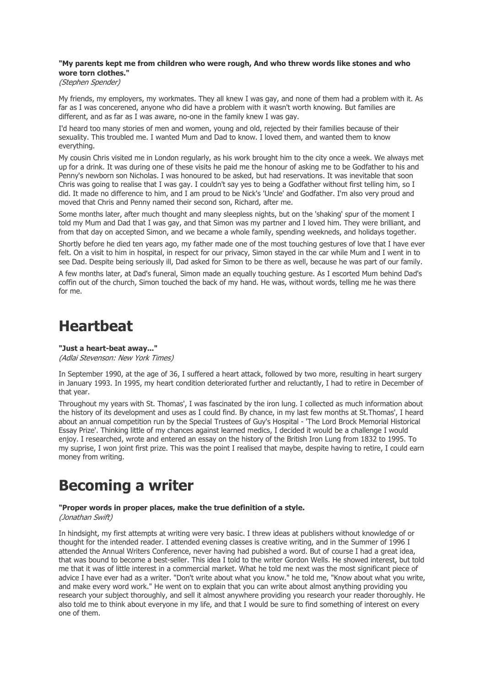### **"My parents kept me from children who were rough, And who threw words like stones and who wore torn clothes."**

(Stephen Spender)

My friends, my employers, my workmates. They all knew I was gay, and none of them had a problem with it. As far as I was concerened, anyone who did have a problem with it wasn't worth knowing. But families are different, and as far as I was aware, no-one in the family knew I was gay.

I'd heard too many stories of men and women, young and old, rejected by their families because of their sexuality. This troubled me. I wanted Mum and Dad to know. I loved them, and wanted them to know everything.

My cousin Chris visited me in London regularly, as his work brought him to the city once a week. We always met up for a drink. It was during one of these visits he paid me the honour of asking me to be Godfather to his and Penny's newborn son Nicholas. I was honoured to be asked, but had reservations. It was inevitable that soon Chris was going to realise that I was gay. I couldn't say yes to being a Godfather without first telling him, so I did. It made no difference to him, and I am proud to be Nick's 'Uncle' and Godfather. I'm also very proud and moved that Chris and Penny named their second son, Richard, after me.

Some months later, after much thought and many sleepless nights, but on the 'shaking' spur of the moment I told my Mum and Dad that I was gay, and that Simon was my partner and I loved him. They were brilliant, and from that day on accepted Simon, and we became a whole family, spending weekneds, and holidays together.

Shortly before he died ten years ago, my father made one of the most touching gestures of love that I have ever felt. On a visit to him in hospital, in respect for our privacy, Simon stayed in the car while Mum and I went in to see Dad. Despite being seriously ill, Dad asked for Simon to be there as well, because he was part of our family.

A few months later, at Dad's funeral, Simon made an equally touching gesture. As I escorted Mum behind Dad's coffin out of the church, Simon touched the back of my hand. He was, without words, telling me he was there for me.

## **Heartbeat**

**"Just a heart-beat away..."** (Adlai Stevenson: New York Times)

In September 1990, at the age of 36, I suffered a heart attack, followed by two more, resulting in heart surgery in January 1993. In 1995, my heart condition deteriorated further and reluctantly, I had to retire in December of that year.

Throughout my years with St. Thomas', I was fascinated by the iron lung. I collected as much information about the history of its development and uses as I could find. By chance, in my last few months at St.Thomas', I heard about an annual competition run by the Special Trustees of Guy's Hospital - 'The Lord Brock Memorial Historical Essay Prize'. Thinking little of my chances against learned medics, I decided it would be a challenge I would enjoy. I researched, wrote and entered an essay on the history of the British Iron Lung from 1832 to 1995. To my suprise, I won joint first prize. This was the point I realised that maybe, despite having to retire, I could earn money from writing.

## **Becoming a writer**

### **"Proper words in proper places, make the true definition of a style.**

(Jonathan Swift)

In hindsight, my first attempts at writing were very basic. I threw ideas at publishers without knowledge of or thought for the intended reader. I attended evening classes is creative writing, and in the Summer of 1996 I attended the Annual Writers Conference, never having had pubished a word. But of course I had a great idea, that was bound to become a best-seller. This idea I told to the writer Gordon Wells. He showed interest, but told me that it was of little interest in a commercial market. What he told me next was the most significant piece of advice I have ever had as a writer. "Don't write about what you know." he told me, "Know about what you write, and make every word work." He went on to explain that you can write about almost anything providing you research your subject thoroughly, and sell it almost anywhere providing you research your reader thoroughly. He also told me to think about everyone in my life, and that I would be sure to find something of interest on every one of them.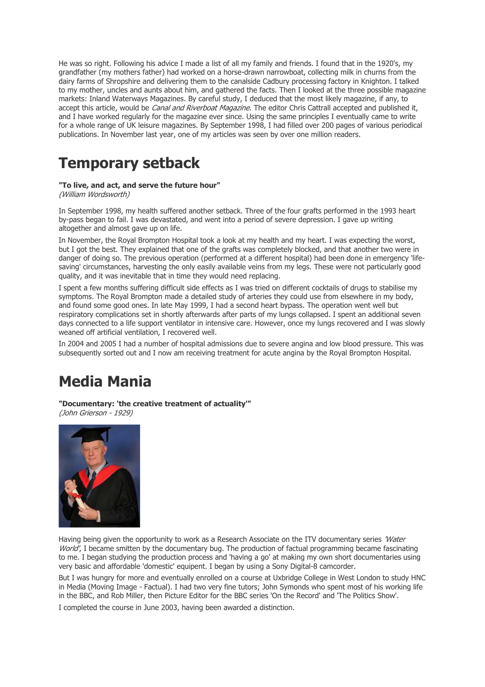He was so right. Following his advice I made a list of all my family and friends. I found that in the 1920's, my grandfather (my mothers father) had worked on a horse-drawn narrowboat, collecting milk in churns from the dairy farms of Shropshire and delivering them to the canalside Cadbury processing factory in Knighton. I talked to my mother, uncles and aunts about him, and gathered the facts. Then I looked at the three possible magazine markets: Inland Waterways Magazines. By careful study, I deduced that the most likely magazine, if any, to accept this article, would be Canal and Riverboat Magazine. The editor Chris Cattrall accepted and published it, and I have worked regularly for the magazine ever since. Using the same principles I eventually came to write for a whole range of UK leisure magazines. By September 1998, I had filled over 200 pages of various periodical publications. In November last year, one of my articles was seen by over one million readers.

### **Temporary setback**

### **"To live, and act, and serve the future hour"**

(William Wordsworth)

In September 1998, my health suffered another setback. Three of the four grafts performed in the 1993 heart by-pass began to fail. I was devastated, and went into a period of severe depression. I gave up writing altogether and almost gave up on life.

In November, the Royal Brompton Hospital took a look at my health and my heart. I was expecting the worst, but I got the best. They explained that one of the grafts was completely blocked, and that another two were in danger of doing so. The previous operation (performed at a different hospital) had been done in emergency 'lifesaving' circumstances, harvesting the only easily available veins from my legs. These were not particularly good quality, and it was inevitable that in time they would need replacing.

I spent a few months suffering difficult side effects as I was tried on different cocktails of drugs to stabilise my symptoms. The Royal Brompton made a detailed study of arteries they could use from elsewhere in my body, and found some good ones. In late May 1999, I had a second heart bypass. The operation went well but respiratory complications set in shortly afterwards after parts of my lungs collapsed. I spent an additional seven days connected to a life support ventilator in intensive care. However, once my lungs recovered and I was slowly weaned off artificial ventilation, I recovered well.

In 2004 and 2005 I had a number of hospital admissions due to severe angina and low blood pressure. This was subsequently sorted out and I now am receiving treatment for acute angina by the Royal Brompton Hospital.

## **Media Mania**

**"Documentary: 'the creative treatment of actuality'"**

(John Grierson - 1929)



Having being given the opportunity to work as a Research Associate on the ITV documentary series 'Water World', I became smitten by the documentary bug. The production of factual programming became fascinating to me. I began studying the production process and 'having a go' at making my own short documentaries using very basic and affordable 'domestic' equipent. I began by using a Sony Digital-8 camcorder.

But I was hungry for more and eventually enrolled on a course at Uxbridge College in West London to study HNC in Media (Moving Image - Factual). I had two very fine tutors; John Symonds who spent most of his working life in the BBC, and Rob Miller, then Picture Editor for the BBC series 'On the Record' and 'The Politics Show'.

I completed the course in June 2003, having been awarded a distinction.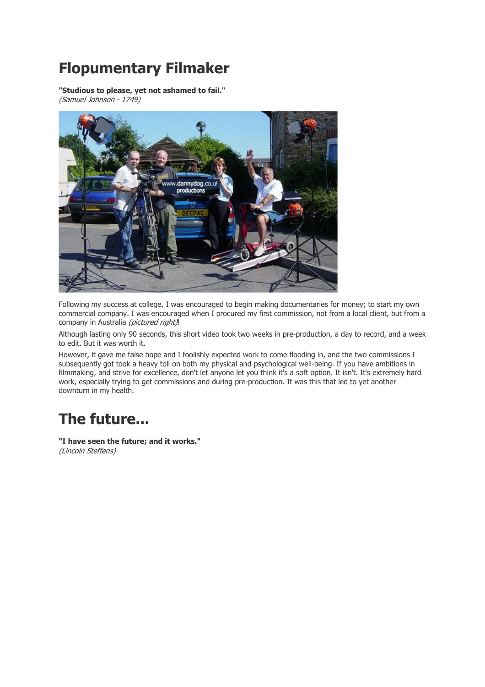## **Flopumentary Filmaker**

**"Studious to please, yet not ashamed to fail."** (Samuel Johnson - 1749)



Following my success at college, I was encouraged to begin making documentaries for money; to start my own commercial company. I was encouraged when I procured my first commission, not from a local client, but from a company in Australia (pictured right)!

Although lasting only 90 seconds, this short video took two weeks in pre-production, a day to record, and a week to edit. But it was worth it.

However, it gave me false hope and I foolishly expected work to come flooding in, and the two commissions I subsequently got took a heavy toll on both my physical and psychological well-being. If you have ambitions in filmmaking, and strive for excellence, don't let anyone let you think it's a soft option. It isn't. It's extremely hard work, especially trying to get commissions and during pre-production. It was this that led to yet another downturn in my health.

# **The future...**

**"I have seen the future; and it works."** (Lincoln Steffens)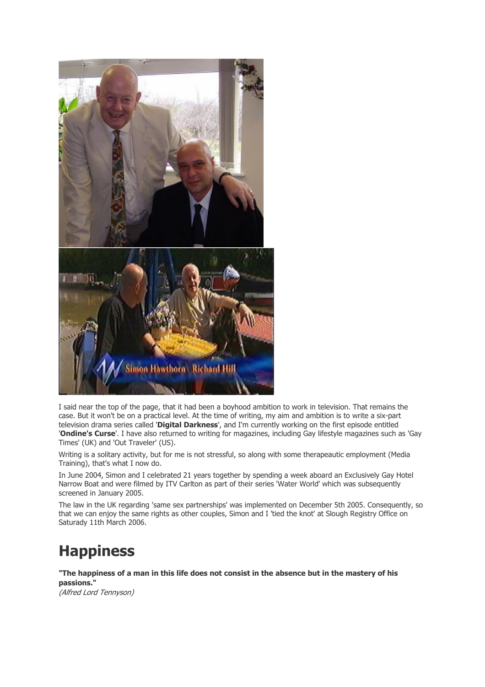

I said near the top of the page, that it had been a boyhood ambition to work in television. That remains the case. But it won't be on a practical level. At the time of writing, my aim and ambition is to write a six-part television drama series called '**Digital Darkness**', and I'm currently working on the first episode entitled '**Ondine's Curse**'. I have also returned to writing for magazines, including Gay lifestyle magazines such as 'Gay Times' (UK) and 'Out Traveler' (US).

Writing is a solitary activity, but for me is not stressful, so along with some therapeautic employment (Media Training), that's what I now do.

In June 2004, Simon and I celebrated 21 years together by spending a week aboard an Exclusively Gay Hotel Narrow Boat and were filmed by ITV Carlton as part of their series 'Water World' which was subsequently screened in January 2005.

The law in the UK regarding 'same sex partnerships' was implemented on December 5th 2005. Consequently, so that we can enjoy the same rights as other couples, Simon and I 'tied the knot' at Slough Registry Office on Saturady 11th March 2006.

## **Happiness**

**"The happiness of a man in this life does not consist in the absence but in the mastery of his passions."**

(Alfred Lord Tennyson)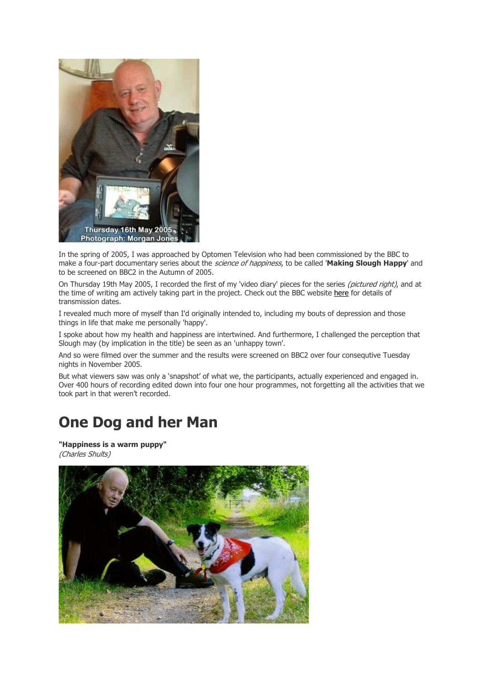

In the spring of 2005, I was approached by Optomen Television who had been commissioned by the BBC to make a four-part documentary series about the science of happiness, to be called '**Making Slough Happy**' and to be screened on BBC2 in the Autumn of 2005.

On Thursday 19th May 2005, I recorded the first of my 'video diary' pieces for the series *(pictured right)*, and at the time of writing am actively taking part in the project. Check out the BBC website here for details of transmission dates.

I revealed much more of myself than I'd originally intended to, including my bouts of depression and those things in life that make me personally 'happy'.

I spoke about how my health and happiness are intertwined. And furthermore, I challenged the perception that Slough may (by implication in the title) be seen as an 'unhappy town'.

And so were filmed over the summer and the results were screened on BBC2 over four consequtive Tuesday nights in November 2005.

But what viewers saw was only a 'snapshot' of what we, the participants, actually experienced and engaged in. Over 400 hours of recording edited down into four one hour programmes, not forgetting all the activities that we took part in that weren't recorded.

### **One Dog and her Man**

**"Happiness is a warm puppy"** (Charles Shults)